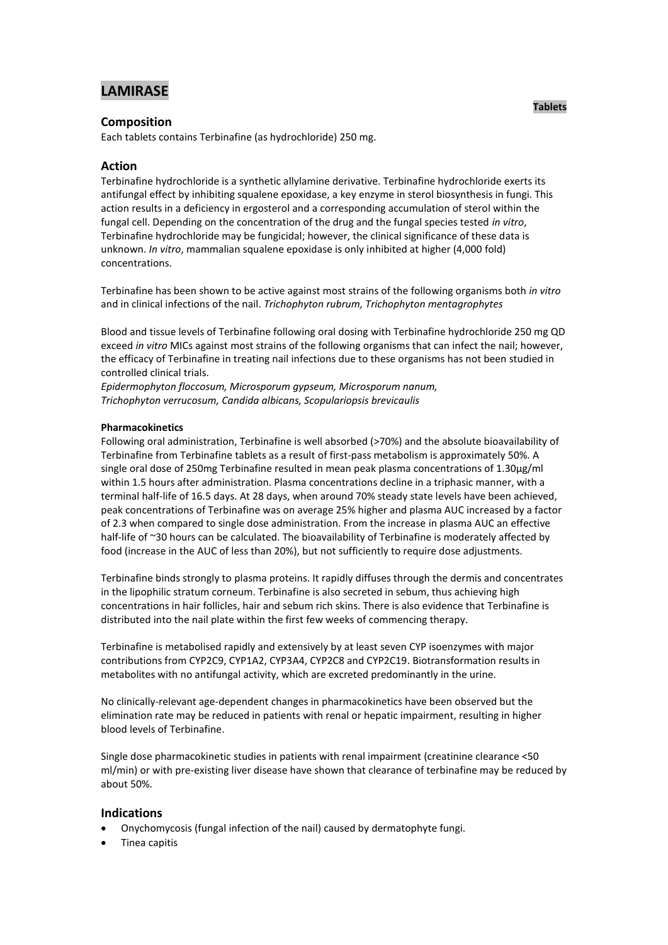# **LAMIRASE**

# **Composition**

Each tablets contains Terbinafine (as hydrochloride) 250 mg.

# **Action**

Terbinafine hydrochloride is a synthetic allylamine derivative. Terbinafine hydrochloride exerts its antifungal effect by inhibiting squalene epoxidase, a key enzyme in sterol biosynthesis in fungi. This action results in a deficiency in ergosterol and a corresponding accumulation of sterol within the fungal cell. Depending on the concentration of the drug and the fungal species tested *in vitro*, Terbinafine hydrochloride may be fungicidal; however, the clinical significance of these data is unknown. *In vitro*, mammalian squalene epoxidase is only inhibited at higher (4,000 fold) concentrations.

Terbinafine has been shown to be active against most strains of the following organisms both *in vitro* and in clinical infections of the nail. *Trichophyton rubrum, Trichophyton mentagrophytes*

Blood and tissue levels of Terbinafine following oral dosing with Terbinafine hydrochloride 250 mg QD exceed *in vitro* MICs against most strains of the following organisms that can infect the nail; however, the efficacy of Terbinafine in treating nail infections due to these organisms has not been studied in controlled clinical trials.

*Epidermophyton floccosum, Microsporum gypseum, Microsporum nanum, Trichophyton verrucosum, Candida albicans, Scopulariopsis brevicaulis*

## **Pharmacokinetics**

Following oral administration, Terbinafine is well absorbed (>70%) and the absolute bioavailability of Terbinafine from Terbinafine tablets as a result of first-pass metabolism is approximately 50%. A single oral dose of 250mg Terbinafine resulted in mean peak plasma concentrations of 1.30μg/ml within 1.5 hours after administration. Plasma concentrations decline in a triphasic manner, with a terminal half-life of 16.5 days. At 28 days, when around 70% steady state levels have been achieved, peak concentrations of Terbinafine was on average 25% higher and plasma AUC increased by a factor of 2.3 when compared to single dose administration. From the increase in plasma AUC an effective half-life of ~30 hours can be calculated. The bioavailability of Terbinafine is moderately affected by food (increase in the AUC of less than 20%), but not sufficiently to require dose adjustments.

Terbinafine binds strongly to plasma proteins. It rapidly diffuses through the dermis and concentrates in the lipophilic stratum corneum. Terbinafine is also secreted in sebum, thus achieving high concentrations in hair follicles, hair and sebum rich skins. There is also evidence that Terbinafine is distributed into the nail plate within the first few weeks of commencing therapy.

Terbinafine is metabolised rapidly and extensively by at least seven CYP isoenzymes with major contributions from CYP2C9, CYP1A2, CYP3A4, CYP2C8 and CYP2C19. Biotransformation results in metabolites with no antifungal activity, which are excreted predominantly in the urine.

No clinically-relevant age-dependent changes in pharmacokinetics have been observed but the elimination rate may be reduced in patients with renal or hepatic impairment, resulting in higher blood levels of Terbinafine.

Single dose pharmacokinetic studies in patients with renal impairment (creatinine clearance <50 ml/min) or with pre-existing liver disease have shown that clearance of terbinafine may be reduced by about 50%.

# **Indications**

- Onychomycosis (fungal infection of the nail) caused by dermatophyte fungi.
- Tinea capitis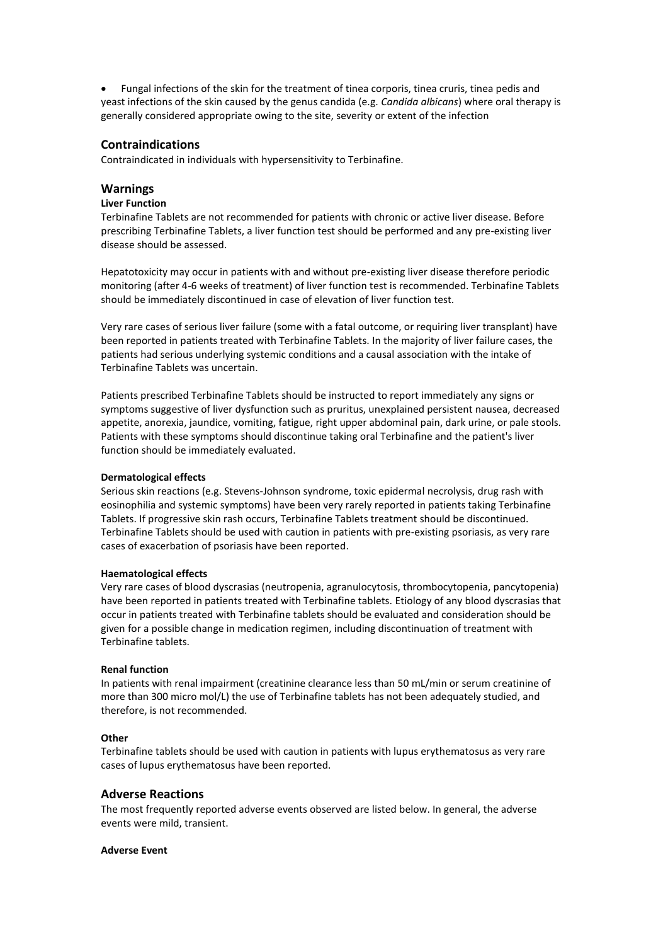Fungal infections of the skin for the treatment of tinea corporis, tinea cruris, tinea pedis and yeast infections of the skin caused by the genus candida (e.g. *Candida albicans*) where oral therapy is generally considered appropriate owing to the site, severity or extent of the infection

# **Contraindications**

Contraindicated in individuals with hypersensitivity to Terbinafine.

# **Warnings**

# **Liver Function**

Terbinafine Tablets are not recommended for patients with chronic or active liver disease. Before prescribing Terbinafine Tablets, a liver function test should be performed and any pre-existing liver disease should be assessed.

Hepatotoxicity may occur in patients with and without pre-existing liver disease therefore periodic monitoring (after 4-6 weeks of treatment) of liver function test is recommended. Terbinafine Tablets should be immediately discontinued in case of elevation of liver function test.

Very rare cases of serious liver failure (some with a fatal outcome, or requiring liver transplant) have been reported in patients treated with Terbinafine Tablets. In the majority of liver failure cases, the patients had serious underlying systemic conditions and a causal association with the intake of Terbinafine Tablets was uncertain.

Patients prescribed Terbinafine Tablets should be instructed to report immediately any signs or symptoms suggestive of liver dysfunction such as pruritus, unexplained persistent nausea, decreased appetite, anorexia, jaundice, vomiting, fatigue, right upper abdominal pain, dark urine, or pale stools. Patients with these symptoms should discontinue taking oral Terbinafine and the patient's liver function should be immediately evaluated.

## **Dermatological effects**

Serious skin reactions (e.g. Stevens-Johnson syndrome, toxic epidermal necrolysis, drug rash with eosinophilia and systemic symptoms) have been very rarely reported in patients taking Terbinafine Tablets. If progressive skin rash occurs, Terbinafine Tablets treatment should be discontinued. Terbinafine Tablets should be used with caution in patients with pre-existing psoriasis, as very rare cases of exacerbation of psoriasis have been reported.

## **Haematological effects**

Very rare cases of blood dyscrasias (neutropenia, agranulocytosis, thrombocytopenia, pancytopenia) have been reported in patients treated with Terbinafine tablets. Etiology of any blood dyscrasias that occur in patients treated with Terbinafine tablets should be evaluated and consideration should be given for a possible change in medication regimen, including discontinuation of treatment with Terbinafine tablets.

## **Renal function**

In patients with renal impairment (creatinine clearance less than 50 mL/min or serum creatinine of more than 300 micro mol/L) the use of Terbinafine tablets has not been adequately studied, and therefore, is not recommended.

## **Other**

Terbinafine tablets should be used with caution in patients with lupus erythematosus as very rare cases of lupus erythematosus have been reported.

# **Adverse Reactions**

The most frequently reported adverse events observed are listed below. In general, the adverse events were mild, transient.

## **Adverse Event**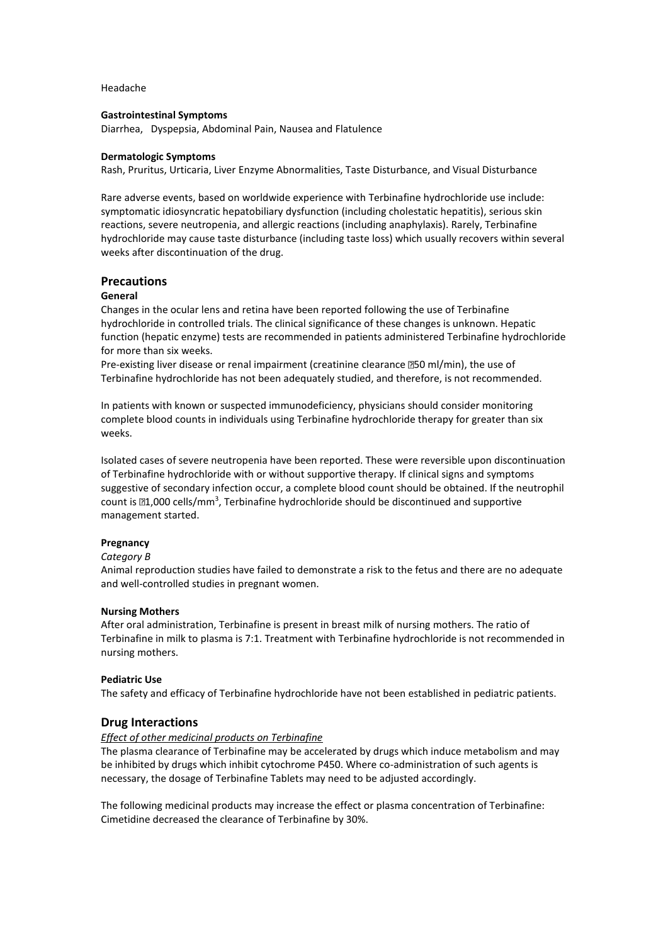Headache

## **Gastrointestinal Symptoms**

Diarrhea, Dyspepsia, Abdominal Pain, Nausea and Flatulence

#### **Dermatologic Symptoms**

Rash, Pruritus, Urticaria, Liver Enzyme Abnormalities, Taste Disturbance, and Visual Disturbance

Rare adverse events, based on worldwide experience with Terbinafine hydrochloride use include: symptomatic idiosyncratic hepatobiliary dysfunction (including cholestatic hepatitis), serious skin reactions, severe neutropenia, and allergic reactions (including anaphylaxis). Rarely, Terbinafine hydrochloride may cause taste disturbance (including taste loss) which usually recovers within several weeks after discontinuation of the drug.

## **Precautions**

#### **General**

Changes in the ocular lens and retina have been reported following the use of Terbinafine hydrochloride in controlled trials. The clinical significance of these changes is unknown. Hepatic function (hepatic enzyme) tests are recommended in patients administered Terbinafine hydrochloride for more than six weeks.

Pre-existing liver disease or renal impairment (creatinine clearance  $\text{D}50$  ml/min), the use of Terbinafine hydrochloride has not been adequately studied, and therefore, is not recommended.

In patients with known or suspected immunodeficiency, physicians should consider monitoring complete blood counts in individuals using Terbinafine hydrochloride therapy for greater than six weeks.

Isolated cases of severe neutropenia have been reported. These were reversible upon discontinuation of Terbinafine hydrochloride with or without supportive therapy. If clinical signs and symptoms suggestive of secondary infection occur, a complete blood count should be obtained. If the neutrophil count is 21,000 cells/mm<sup>3</sup>, Terbinafine hydrochloride should be discontinued and supportive management started.

## **Pregnancy**

## *Category B*

Animal reproduction studies have failed to demonstrate a risk to the fetus and there are no adequate and well-controlled studies in pregnant women.

## **Nursing Mothers**

After oral administration, Terbinafine is present in breast milk of nursing mothers. The ratio of Terbinafine in milk to plasma is 7:1. Treatment with Terbinafine hydrochloride is not recommended in nursing mothers.

## **Pediatric Use**

The safety and efficacy of Terbinafine hydrochloride have not been established in pediatric patients.

## **Drug Interactions**

#### *Effect of other medicinal products on Terbinafine*

The plasma clearance of Terbinafine may be accelerated by drugs which induce metabolism and may be inhibited by drugs which inhibit cytochrome P450. Where co-administration of such agents is necessary, the dosage of Terbinafine Tablets may need to be adjusted accordingly.

The following medicinal products may increase the effect or plasma concentration of Terbinafine: Cimetidine decreased the clearance of Terbinafine by 30%.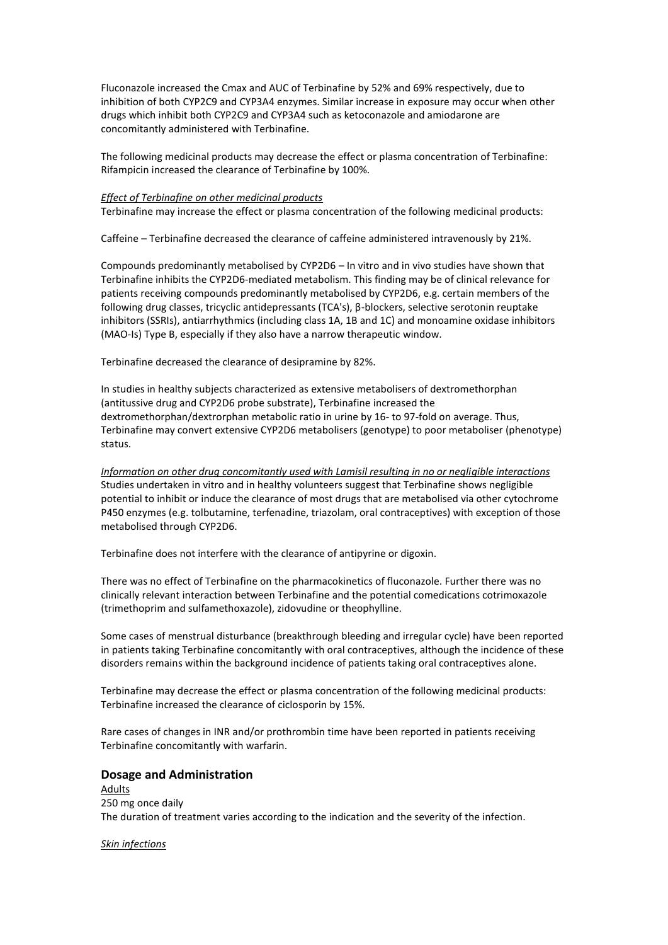Fluconazole increased the Cmax and AUC of Terbinafine by 52% and 69% respectively, due to inhibition of both CYP2C9 and CYP3A4 enzymes. Similar increase in exposure may occur when other drugs which inhibit both CYP2C9 and CYP3A4 such as ketoconazole and amiodarone are concomitantly administered with Terbinafine.

The following medicinal products may decrease the effect or plasma concentration of Terbinafine: Rifampicin increased the clearance of Terbinafine by 100%.

#### *Effect of Terbinafine on other medicinal products*

Terbinafine may increase the effect or plasma concentration of the following medicinal products:

Caffeine – Terbinafine decreased the clearance of caffeine administered intravenously by 21%.

Compounds predominantly metabolised by CYP2D6 – In vitro and in vivo studies have shown that Terbinafine inhibits the CYP2D6-mediated metabolism. This finding may be of clinical relevance for patients receiving compounds predominantly metabolised by CYP2D6, e.g. certain members of the following drug classes, tricyclic antidepressants (TCA's), β-blockers, selective serotonin reuptake inhibitors (SSRIs), antiarrhythmics (including class 1A, 1B and 1C) and monoamine oxidase inhibitors (MAO-Is) Type B, especially if they also have a narrow therapeutic window.

Terbinafine decreased the clearance of desipramine by 82%.

In studies in healthy subjects characterized as extensive metabolisers of dextromethorphan (antitussive drug and CYP2D6 probe substrate), Terbinafine increased the dextromethorphan/dextrorphan metabolic ratio in urine by 16- to 97-fold on average. Thus, Terbinafine may convert extensive CYP2D6 metabolisers (genotype) to poor metaboliser (phenotype) status.

*Information on other drug concomitantly used with Lamisil resulting in no or negligible interactions* Studies undertaken in vitro and in healthy volunteers suggest that Terbinafine shows negligible potential to inhibit or induce the clearance of most drugs that are metabolised via other cytochrome P450 enzymes (e.g. tolbutamine, terfenadine, triazolam, oral contraceptives) with exception of those metabolised through CYP2D6.

Terbinafine does not interfere with the clearance of antipyrine or digoxin.

There was no effect of Terbinafine on the pharmacokinetics of fluconazole. Further there was no clinically relevant interaction between Terbinafine and the potential comedications cotrimoxazole (trimethoprim and sulfamethoxazole), zidovudine or theophylline.

Some cases of menstrual disturbance (breakthrough bleeding and irregular cycle) have been reported in patients taking Terbinafine concomitantly with oral contraceptives, although the incidence of these disorders remains within the background incidence of patients taking oral contraceptives alone.

Terbinafine may decrease the effect or plasma concentration of the following medicinal products: Terbinafine increased the clearance of ciclosporin by 15%.

Rare cases of changes in INR and/or prothrombin time have been reported in patients receiving Terbinafine concomitantly with warfarin.

## **Dosage and Administration**

Adults 250 mg once daily The duration of treatment varies according to the indication and the severity of the infection.

#### *Skin infections*